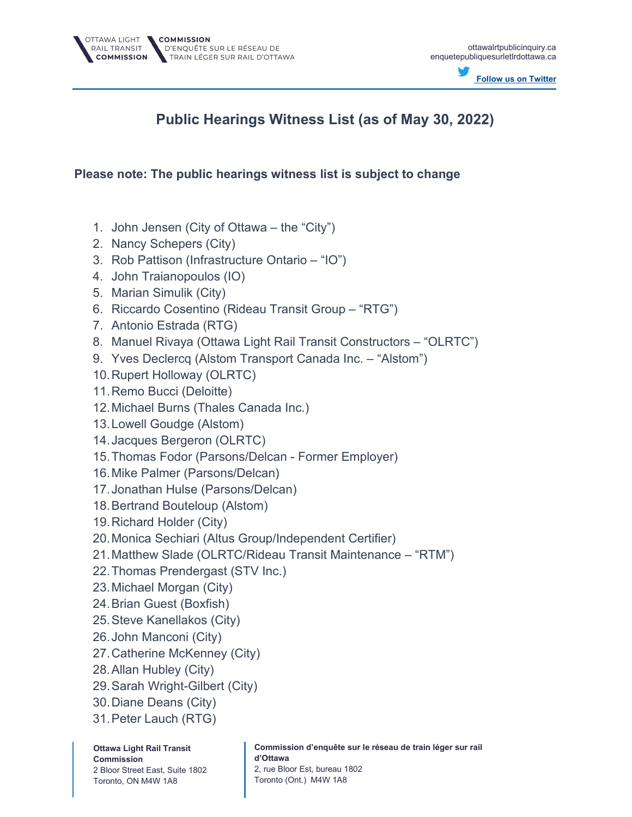

## **Public Hearings Witness List (as of May 30, 2022)**

## **Please note: The public hearings witness list is subject to change**

- 1. John Jensen (City of Ottawa the "City")
- 2. Nancy Schepers (City)
- 3. Rob Pattison (Infrastructure Ontario "IO")
- 4. John Traianopoulos (IO)
- 5. Marian Simulik (City)
- 6. Riccardo Cosentino (Rideau Transit Group "RTG")
- 7. Antonio Estrada (RTG)
- 8. Manuel Rivaya (Ottawa Light Rail Transit Constructors "OLRTC")
- 9. Yves Declercq (Alstom Transport Canada Inc. "Alstom")
- 10.Rupert Holloway (OLRTC)
- 11.Remo Bucci (Deloitte)
- 12.Michael Burns (Thales Canada Inc.)
- 13.Lowell Goudge (Alstom)
- 14.Jacques Bergeron (OLRTC)
- 15.Thomas Fodor (Parsons/Delcan Former Employer)
- 16.Mike Palmer (Parsons/Delcan)
- 17.Jonathan Hulse (Parsons/Delcan)
- 18.Bertrand Bouteloup (Alstom)
- 19.Richard Holder (City)
- 20.Monica Sechiari (Altus Group/Independent Certifier)
- 21.Matthew Slade (OLRTC/Rideau Transit Maintenance "RTM")
- 22.Thomas Prendergast (STV Inc.)
- 23.Michael Morgan (City)
- 24.Brian Guest (Boxfish)
- 25.Steve Kanellakos (City)
- 26.John Manconi (City)
- 27.Catherine McKenney (City)
- 28.Allan Hubley (City)
- 29.Sarah Wright-Gilbert (City)
- 30.Diane Deans (City)
- 31.Peter Lauch (RTG)

**Ottawa Light Rail Transit Commission** 2 Bloor Street East, Suite 1802 Toronto, ON M4W 1A8

**Commission d'enquête sur le réseau de train léger sur rail d'Ottawa**  2, rue Bloor Est, bureau 1802

Toronto (Ont.) M4W 1A8